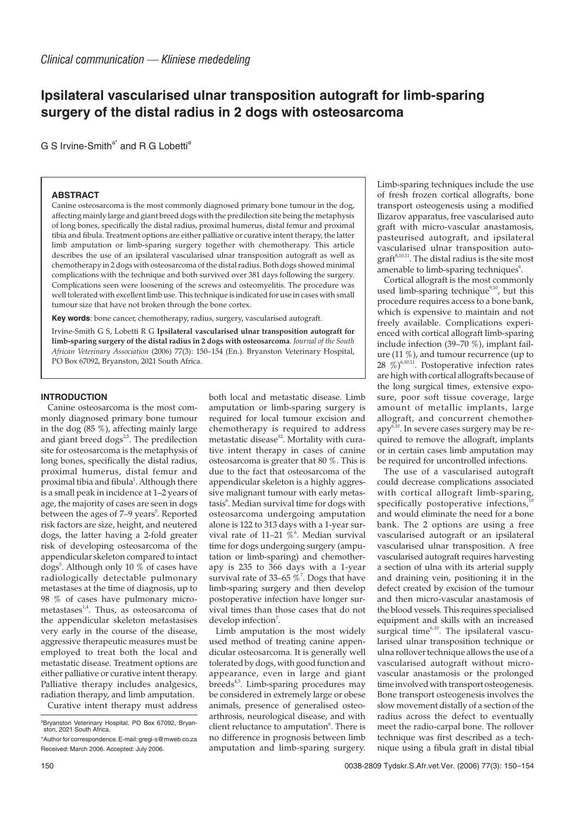# **Ipsilateral vascularised ulnar transposition autograft for limb-sparing surgery of the distal radius in 2 dogs with osteosarcoma**

G S Irvine-Smith<sup>a\*</sup> and R G Lobetti<sup>a</sup>

## **ABSTRACT**

Canine osteosarcoma is the most commonly diagnosed primary bone tumour in the dog, affecting mainly large and giant breed dogs with the predilection site being the metaphysis of long bones, specifically the distal radius, proximal humerus, distal femur and proximal tibia and fibula. Treatment options are either palliative or curative intent therapy, the latter limb amputation or limb-sparing surgery together with chemotherapy. This article describes the use of an ipsilateral vascularised ulnar transposition autograft as well as chemotherapy in 2 dogs with osteosarcoma of the distal radius. Both dogs showed minimal complications with the technique and both survived over 381 days following the surgery. Complications seen were loosening of the screws and osteomyelitis. The procedure was well tolerated with excellent limb use. This technique is indicated for use in cases with small tumour size that have not broken through the bone cortex.

**Key words**: bone cancer, chemotherapy, radius, surgery, vascularised autograft.

Irvine-Smith G S, Lobetti R G **Ipsilateral vascularised ulnar transposition autograft for limb-sparing surgery of the distal radius in 2 dogs with osteosarcoma**. *Journal of the South African Veterinary Association* (2006) 77(3): 150–154 (En.). Bryanston Veterinary Hospital, PO Box 67092, Bryanston, 2021 South Africa.

## **INTRODUCTION**

Canine osteosarcoma is the most commonly diagnosed primary bone tumour in the dog (85 %), affecting mainly large and giant breed dogs<sup>2,5</sup>. The predilection site for osteosarcoma is the metaphysis of long bones, specifically the distal radius, proximal humerus, distal femur and proximal tibia and fibula<sup>1</sup>. Although there is a small peak in incidence at 1–2 years of age, the majority of cases are seen in dogs between the ages of 7–9 years<sup>5</sup>. Reported risk factors are size, height, and neutered dogs, the latter having a 2-fold greater risk of developing osteosarcoma of the appendicular skeleton compared to intact dogs<sup>5</sup>. Although only 10 % of cases have radiologically detectable pulmonary metastases at the time of diagnosis, up to 98 % of cases have pulmonary micrometastases $^{1,4}$ . Thus, as osteosarcoma of the appendicular skeleton metastasises very early in the course of the disease, aggressive therapeutic measures must be employed to treat both the local and metastatic disease. Treatment options are either palliative or curative intent therapy. Palliative therapy includes analgesics, radiation therapy, and limb amputation.

Curative intent therapy must address

both local and metastatic disease. Limb amputation or limb-sparing surgery is required for local tumour excision and chemotherapy is required to address metastatic disease<sup>12</sup>. Mortality with curative intent therapy in cases of canine osteosarcoma is greater that 80 %. This is due to the fact that osteosarcoma of the appendicular skeleton is a highly aggressive malignant tumour with early metastasis<sup>6</sup>. Median survival time for dogs with osteosarcoma undergoing amputation alone is 122 to 313 days with a 1-year survival rate of  $11-21\%$ <sup>6</sup>. Median survival time for dogs undergoing surgery (amputation or limb-sparing) and chemotherapy is 235 to 366 days with a 1-year survival rate of 33–65  $\%$ <sup>7</sup>. Dogs that have limb-sparing surgery and then develop postoperative infection have longer survival times than those cases that do not develop infection<sup>7</sup>.

Limb amputation is the most widely used method of treating canine appendicular osteosarcoma. It is generally well tolerated by dogs, with good function and appearance, even in large and giant breeds<sup>4,5</sup>. Limb-sparing procedures may be considered in extremely large or obese animals, presence of generalised osteoarthrosis, neurological disease, and with client reluctance to amputation<sup>6</sup>. There is no difference in prognosis between limb amputation and limb-sparing surgery. Limb-sparing techniques include the use of fresh frozen cortical allografts, bone transport osteogenesis using a modified Ilizarov apparatus, free vascularised auto graft with micro-vascular anastamosis, pasteurised autograft, and ipsilateral vascularised ulnar transposition auto $graff<sup>8,10,11</sup>$ . The distal radius is the site most amenable to limb-sparing techniques $\mathfrak{h}$ .

Cortical allograft is the most commonly used limb-sparing technique $9,10$ , but this procedure requires access to a bone bank, which is expensive to maintain and not freely available. Complications experienced with cortical allograft limb-sparing include infection (39–70 %), implant failure (11 %), and tumour recurrence (up to  $28 \times \pi^{6,10,11}$ . Postoperative infection rates are high with cortical allografts because of the long surgical times, extensive exposure, poor soft tissue coverage, large amount of metallic implants, large allograft, and concurrent chemotherapy<sup>6,10</sup>. In severe cases surgery may be required to remove the allograft, implants or in certain cases limb amputation may be required for uncontrolled infections.

The use of a vascularised autograft could decrease complications associated with cortical allograft limb-sparing, specifically postoperative infections, and would eliminate the need for a bone bank. The 2 options are using a free vascularised autograft or an ipsilateral vascularised ulnar transposition. A free vascularised autograft requires harvesting a section of ulna with its arterial supply and draining vein, positioning it in the defect created by excision of the tumour and then micro-vascular anastamosis of the blood vessels. This requires specialised equipment and skills with an increased surgical time<sup>6,10</sup>. The ipsilateral vascularised ulnar transposition technique or ulna rollover technique allows the use of a vascularised autograft without microvascular anastamosis or the prolonged time involved with transport osteogenesis. Bone transport osteogenesis involves the slow movement distally of a section of the radius across the defect to eventually meet the radio-carpal bone. The rollover technique was first described as a technique using a fibula graft in distal tibial

a Bryanston Veterinary Hospital, PO Box 67092, Bryan-ston, 2021 South Africa.

<sup>\*</sup>Author for correspondence.E-mail:gregi-s@mweb.co.za Received: March 2006. Accepted: July 2006.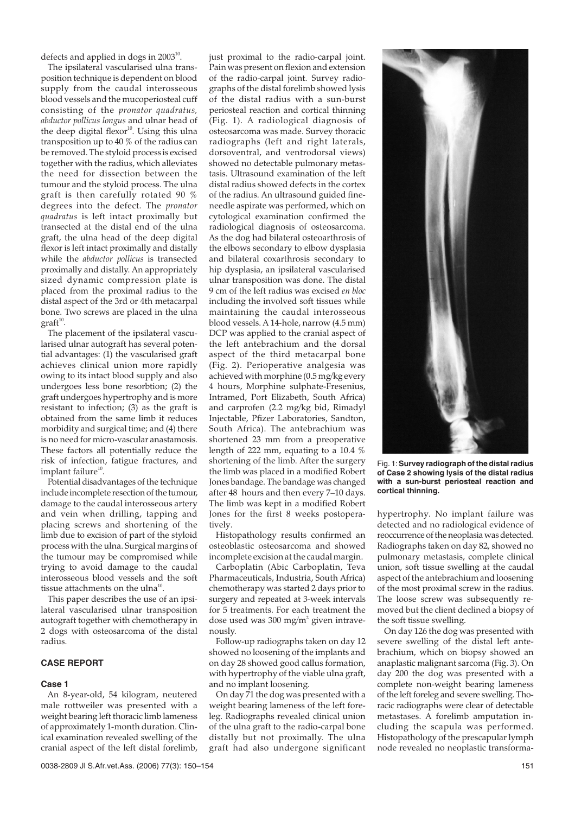defects and applied in dogs in  $2003^{10}$ .

The ipsilateral vascularised ulna transposition technique is dependent on blood supply from the caudal interosseous blood vessels and the mucoperiosteal cuff consisting of the *pronator quadratus, abductor pollicus longus* and ulnar head of the deep digital flexor<sup>10</sup>. Using this ulna transposition up to 40 % of the radius can be removed. The styloid process is excised together with the radius, which alleviates the need for dissection between the tumour and the styloid process. The ulna graft is then carefully rotated 90 % degrees into the defect. The *pronator quadratus* is left intact proximally but transected at the distal end of the ulna graft, the ulna head of the deep digital flexor is left intact proximally and distally while the *abductor pollicus* is transected proximally and distally. An appropriately sized dynamic compression plate is placed from the proximal radius to the distal aspect of the 3rd or 4th metacarpal bone. Two screws are placed in the ulna  $graff<sup>10</sup>$ .

The placement of the ipsilateral vascularised ulnar autograft has several potential advantages: (1) the vascularised graft achieves clinical union more rapidly owing to its intact blood supply and also undergoes less bone resorbtion; (2) the graft undergoes hypertrophy and is more resistant to infection; (3) as the graft is obtained from the same limb it reduces morbidity and surgical time; and (4) there is no need for micro-vascular anastamosis. These factors all potentially reduce the risk of infection, fatigue fractures, and implant failure<sup>10</sup>.

Potential disadvantages of the technique include incomplete resection of the tumour, damage to the caudal interosseous artery and vein when drilling, tapping and placing screws and shortening of the limb due to excision of part of the styloid process with the ulna. Surgical margins of the tumour may be compromised while trying to avoid damage to the caudal interosseous blood vessels and the soft tissue attachments on the ulna<sup>1</sup>

This paper describes the use of an ipsilateral vascularised ulnar transposition autograft together with chemotherapy in 2 dogs with osteosarcoma of the distal radius.

# **CASE REPORT**

#### **Case 1**

An 8-year-old, 54 kilogram, neutered male rottweiler was presented with a weight bearing left thoracic limb lameness of approximately 1-month duration. Clinical examination revealed swelling of the cranial aspect of the left distal forelimb,

just proximal to the radio-carpal joint. Pain was present on flexion and extension of the radio-carpal joint. Survey radiographs of the distal forelimb showed lysis of the distal radius with a sun-burst periosteal reaction and cortical thinning (Fig. 1). A radiological diagnosis of osteosarcoma was made. Survey thoracic radiographs (left and right laterals, dorsoventral, and ventrodorsal views) showed no detectable pulmonary metastasis. Ultrasound examination of the left distal radius showed defects in the cortex of the radius. An ultrasound guided fineneedle aspirate was performed, which on cytological examination confirmed the radiological diagnosis of osteosarcoma. As the dog had bilateral osteoarthrosis of the elbows secondary to elbow dysplasia and bilateral coxarthrosis secondary to hip dysplasia, an ipsilateral vascularised ulnar transposition was done. The distal 9 cm of the left radius was excised *en bloc* including the involved soft tissues while maintaining the caudal interosseous blood vessels. A 14-hole, narrow (4.5 mm) DCP was applied to the cranial aspect of the left antebrachium and the dorsal aspect of the third metacarpal bone (Fig. 2). Perioperative analgesia was achieved with morphine (0.5 mg/kg every 4 hours, Morphine sulphate-Fresenius, Intramed, Port Elizabeth, South Africa) and carprofen (2.2 mg/kg bid, Rimadyl Injectable, Pfizer Laboratories, Sandton, South Africa). The antebrachium was shortened 23 mm from a preoperative length of 222 mm, equating to a 10.4 % shortening of the limb. After the surgery the limb was placed in a modified Robert Jones bandage. The bandage was changed after 48 hours and then every 7–10 days. The limb was kept in a modified Robert Jones for the first 8 weeks postoperatively.

Histopathology results confirmed an osteoblastic osteosarcoma and showed incomplete excision at the caudal margin.

Carboplatin (Abic Carboplatin, Teva Pharmaceuticals, Industria, South Africa) chemotherapy was started 2 days prior to surgery and repeated at 3-week intervals for 5 treatments. For each treatment the dose used was 300 mg/m2 given intravenously.

Follow-up radiographs taken on day 12 showed no loosening of the implants and on day 28 showed good callus formation, with hypertrophy of the viable ulna graft, and no implant loosening.

On day 71 the dog was presented with a weight bearing lameness of the left foreleg. Radiographs revealed clinical union of the ulna graft to the radio-carpal bone distally but not proximally. The ulna graft had also undergone significant



Fig. 1:**Survey radiograph of the distal radius of Case 2 showing lysis of the distal radius with a sun-burst periosteal reaction and cortical thinning.**

hypertrophy. No implant failure was detected and no radiological evidence of reoccurrence of the neoplasia was detected. Radiographs taken on day 82, showed no pulmonary metastasis, complete clinical union, soft tissue swelling at the caudal aspect of the antebrachium and loosening of the most proximal screw in the radius. The loose screw was subsequently removed but the client declined a biopsy of the soft tissue swelling.

On day 126 the dog was presented with severe swelling of the distal left antebrachium, which on biopsy showed an anaplastic malignant sarcoma (Fig. 3). On day 200 the dog was presented with a complete non-weight bearing lameness of the left foreleg and severe swelling. Thoracic radiographs were clear of detectable metastases. A forelimb amputation including the scapula was performed. Histopathology of the prescapular lymph node revealed no neoplastic transforma-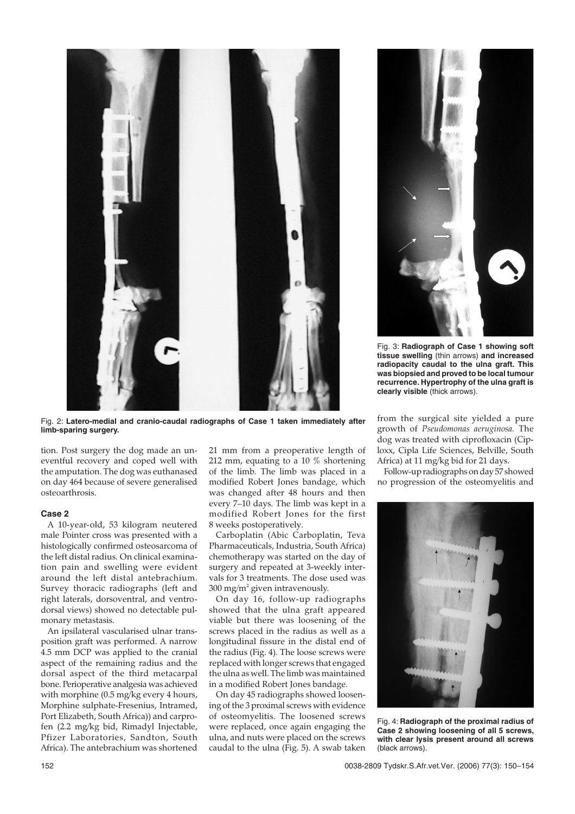



Fig. 3: **Radiograph of Case 1 showing soft tissue swelling** (thin arrows) **and increased radiopacity caudal to the ulna graft. This was biopsied and proved to be local tumour recurrence. Hypertrophy of the ulna graft is clearly visible** (thick arrows).

Fig. 2: **Latero-medial and cranio-caudal radiographs of Case 1 taken immediately after limb-sparing surgery.**

tion. Post surgery the dog made an uneventful recovery and coped well with the amputation. The dog was euthanased on day 464 because of severe generalised osteoarthrosis.

### **Case 2**

A 10-year-old, 53 kilogram neutered male Pointer cross was presented with a histologically confirmed osteosarcoma of the left distal radius. On clinical examination pain and swelling were evident around the left distal antebrachium. Survey thoracic radiographs (left and right laterals, dorsoventral, and ventrodorsal views) showed no detectable pulmonary metastasis.

An ipsilateral vascularised ulnar transposition graft was performed. A narrow 4.5 mm DCP was applied to the cranial aspect of the remaining radius and the dorsal aspect of the third metacarpal bone. Perioperative analgesia was achieved with morphine (0.5 mg/kg every 4 hours, Morphine sulphate-Fresenius, Intramed, Port Elizabeth, South Africa)) and carprofen (2.2 mg/kg bid, Rimadyl Injectable, Pfizer Laboratories, Sandton, South Africa). The antebrachium was shortened

21 mm from a preoperative length of 212 mm, equating to a 10 % shortening of the limb. The limb was placed in a modified Robert Jones bandage, which was changed after 48 hours and then every 7–10 days. The limb was kept in a modified Robert Jones for the first 8 weeks postoperatively.

Carboplatin (Abic Carboplatin, Teva Pharmaceuticals, Industria, South Africa) chemotherapy was started on the day of surgery and repeated at 3-weekly intervals for 3 treatments. The dose used was  $300 \text{ mg/m}^2$  given intravenously.

On day 16, follow-up radiographs showed that the ulna graft appeared viable but there was loosening of the screws placed in the radius as well as a longitudinal fissure in the distal end of the radius (Fig. 4). The loose screws were replaced with longer screws that engaged the ulna as well. The limb was maintained in a modified Robert Jones bandage.

On day 45 radiographs showed loosening of the 3 proximal screws with evidence of osteomyelitis. The loosened screws were replaced, once again engaging the ulna, and nuts were placed on the screws caudal to the ulna (Fig. 5). A swab taken from the surgical site yielded a pure growth of *Pseudomonas aeruginosa.* The dog was treated with ciprofloxacin (Ciploxx, Cipla Life Sciences, Belville, South Africa) at 11 mg/kg bid for 21 days.

Follow-up radiographs on day 57 showed no progression of the osteomyelitis and



Fig. 4: **Radiograph of the proximal radius of Case 2 showing loosening of all 5 screws, with clear lysis present around all screws** (black arrows).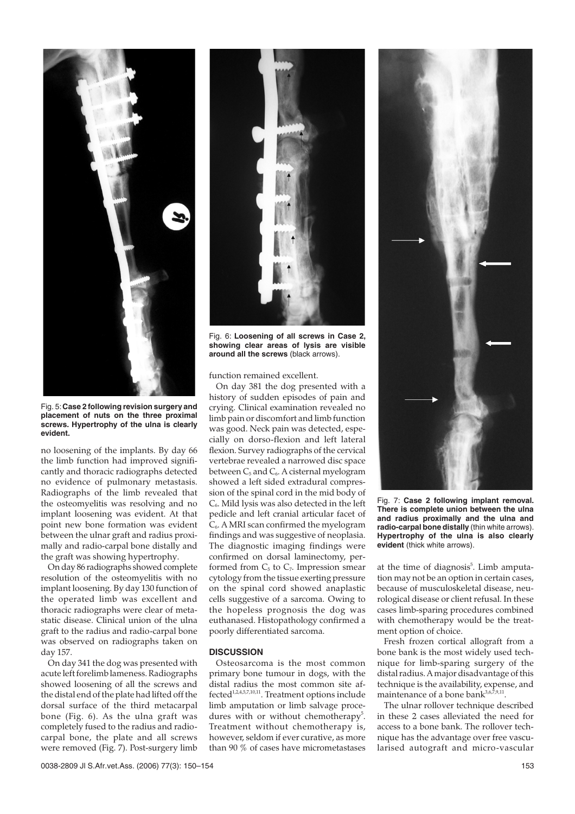

Fig. 5:**Case 2 following revision surgery and placement of nuts on the three proximal screws. Hypertrophy of the ulna is clearly evident.**

no loosening of the implants. By day 66 the limb function had improved significantly and thoracic radiographs detected no evidence of pulmonary metastasis. Radiographs of the limb revealed that the osteomyelitis was resolving and no implant loosening was evident. At that point new bone formation was evident between the ulnar graft and radius proximally and radio-carpal bone distally and the graft was showing hypertrophy.

On day 86 radiographs showed complete resolution of the osteomyelitis with no implant loosening. By day 130 function of the operated limb was excellent and thoracic radiographs were clear of metastatic disease. Clinical union of the ulna graft to the radius and radio-carpal bone was observed on radiographs taken on day 157.

On day 341 the dog was presented with acute left forelimb lameness. Radiographs showed loosening of all the screws and the distal end of the plate had lifted off the dorsal surface of the third metacarpal bone (Fig. 6). As the ulna graft was completely fused to the radius and radiocarpal bone, the plate and all screws were removed (Fig. 7). Post-surgery limb



Fig. 6: **Loosening of all screws in Case 2, showing clear areas of lysis are visible around all the screws** (black arrows).

function remained excellent.

On day 381 the dog presented with a history of sudden episodes of pain and crying. Clinical examination revealed no limb pain or discomfort and limb function was good. Neck pain was detected, especially on dorso-flexion and left lateral flexion. Survey radiographs of the cervical vertebrae revealed a narrowed disc space between  $C_5$  and  $C_6$ . A cisternal myelogram showed a left sided extradural compression of the spinal cord in the mid body of C6. Mild lysis was also detected in the left pedicle and left cranial articular facet of  $C<sub>6</sub>$ . A MRI scan confirmed the myelogram findings and was suggestive of neoplasia. The diagnostic imaging findings were confirmed on dorsal laminectomy, performed from  $C_5$  to  $C_7$ . Impression smear cytology from the tissue exerting pressure on the spinal cord showed anaplastic cells suggestive of a sarcoma. Owing to the hopeless prognosis the dog was euthanased. Histopathology confirmed a poorly differentiated sarcoma.

#### **DISCUSSION**

Osteosarcoma is the most common primary bone tumour in dogs, with the distal radius the most common site affected<sup>1,2,4,5,7,10,11</sup>. Treatment options include limb amputation or limb salvage procedures with or without chemotherapy<sup>5</sup>. Treatment without chemotherapy is, however, seldom if ever curative, as more than 90 % of cases have micrometastases



Fig. 7: **Case 2 following implant removal. There is complete union between the ulna and radius proximally and the ulna and radio-carpal bone distally** (thin white arrows). **Hypertrophy of the ulna is also clearly evident** (thick white arrows).

at the time of diagnosis<sup>5</sup>. Limb amputation may not be an option in certain cases, because of musculoskeletal disease, neurological disease or client refusal. In these cases limb-sparing procedures combined with chemotherapy would be the treatment option of choice.

Fresh frozen cortical allograft from a bone bank is the most widely used technique for limb-sparing surgery of the distal radius. A major disadvantage of this technique is the availability, expense, and maintenance of a bone bank $3,6,7,9,11$ .

The ulnar rollover technique described in these 2 cases alleviated the need for access to a bone bank. The rollover technique has the advantage over free vascularised autograft and micro-vascular